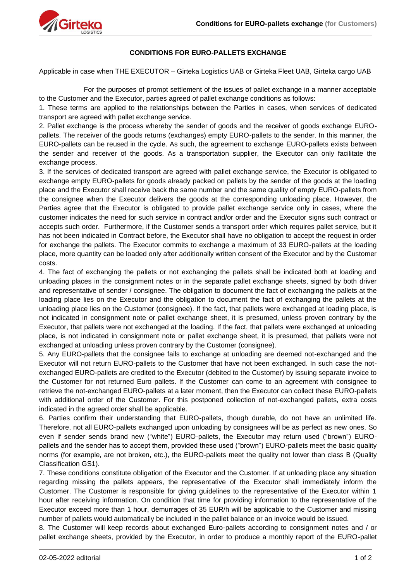

## **CONDITIONS FOR EURO-PALLETS EXCHANGE**

Applicable in case when THE EXECUTOR – Girteka Logistics UAB or Girteka Fleet UAB, Girteka cargo UAB

For the purposes of prompt settlement of the issues of pallet exchange in a manner acceptable to the Customer and the Executor, parties agreed of pallet exchange conditions as follows:

1. These terms are applied to the relationships between the Parties in cases, when services of dedicated transport are agreed with pallet exchange service.

2. Pallet exchange is the process whereby the sender of goods and the receiver of goods exchange EUROpallets. The receiver of the goods returns (exchanges) empty EURO-pallets to the sender. In this manner, the EURO-pallets can be reused in the cycle. As such, the agreement to exchange EURO-pallets exists between the sender and receiver of the goods. As a transportation supplier, the Executor can only facilitate the exchange process.

3. If the services of dedicated transport are agreed with pallet exchange service, the Executor is obligated to exchange empty EURO-pallets for goods already packed on pallets by the sender of the goods at the loading place and the Executor shall receive back the same number and the same quality of empty EURO-pallets from the consignee when the Executor delivers the goods at the corresponding unloading place. However, the Parties agree that the Executor is obligated to provide pallet exchange service only in cases, where the customer indicates the need for such service in contract and/or order and the Executor signs such contract or accepts such order. Furthermore, if the Customer sends a transport order which requires pallet service, but it has not been indicated in Contract before, the Executor shall have no obligation to accept the request in order for exchange the pallets. The Executor commits to exchange a maximum of 33 EURO-pallets at the loading place, more quantity can be loaded only after additionally written consent of the Executor and by the Customer costs.

4. The fact of exchanging the pallets or not exchanging the pallets shall be indicated both at loading and unloading places in the consignment notes or in the separate pallet exchange sheets, signed by both driver and representative of sender / consignee. The obligation to document the fact of exchanging the pallets at the loading place lies on the Executor and the obligation to document the fact of exchanging the pallets at the unloading place lies on the Customer (consignee). If the fact, that pallets were exchanged at loading place, is not indicated in consignment note or pallet exchange sheet, it is presumed, unless proven contrary by the Executor, that pallets were not exchanged at the loading. If the fact, that pallets were exchanged at unloading place, is not indicated in consignment note or pallet exchange sheet, it is presumed, that pallets were not exchanged at unloading unless proven contrary by the Customer (consignee).

5. Any EURO-pallets that the consignee fails to exchange at unloading are deemed not-exchanged and the Executor will not return EURO-pallets to the Customer that have not been exchanged. In such case the notexchanged EURO-pallets are credited to the Executor (debited to the Customer) by issuing separate invoice to the Customer for not returned Euro pallets. If the Customer can come to an agreement with consignee to retrieve the not-exchanged EURO-pallets at a later moment, then the Executor can collect these EURO-pallets with additional order of the Customer. For this postponed collection of not-exchanged pallets, extra costs indicated in the agreed order shall be applicable.

6. Parties confirm their understanding that EURO-pallets, though durable, do not have an unlimited life. Therefore, not all EURO-pallets exchanged upon unloading by consignees will be as perfect as new ones. So even if sender sends brand new ("white") EURO-pallets, the Executor may return used ("brown") EUROpallets and the sender has to accept them, provided these used ("brown") EURO-pallets meet the basic quality norms (for example, are not broken, etc.), the EURO-pallets meet the quality not lower than class B (Quality Classification GS1).

7. These conditions constitute obligation of the Executor and the Customer. If at unloading place any situation regarding missing the pallets appears, the representative of the Executor shall immediately inform the Customer. The Customer is responsible for giving guidelines to the representative of the Executor within 1 hour after receiving information. On condition that time for providing information to the representative of the Executor exceed more than 1 hour, demurrages of 35 EUR/h will be applicable to the Customer and missing number of pallets would automatically be included in the pallet balance or an invoice would be issued.

8. The Customer will keep records about exchanged Euro-pallets according to consignment notes and / or pallet exchange sheets, provided by the Executor, in order to produce a monthly report of the EURO-pallet